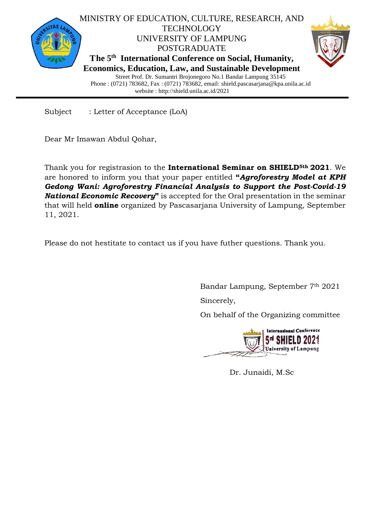

Subject : Letter of Acceptance (LoA)

Dear Mr Imawan Abdul Qohar,

Thank you for registrasion to the **International Seminar on SHIELD5th 2021**. We are honored to inform you that your paper entitled **"***Agroforestry Model at KPH Gedong Wani: Agroforestry Financial Analysis to Support the Post-Covid-19 National Economic Recovery***"** is accepted for the Oral presentation in the seminar that will held **online** organized by Pascasarjana University of Lampung, September 11, 2021.

Please do not hestitate to contact us if you have futher questions. Thank you.

Bandar Lampung, September 7th 2021

Sincerely,

On behalf of the Organizing committee



Dr. Junaidi, M.Sc